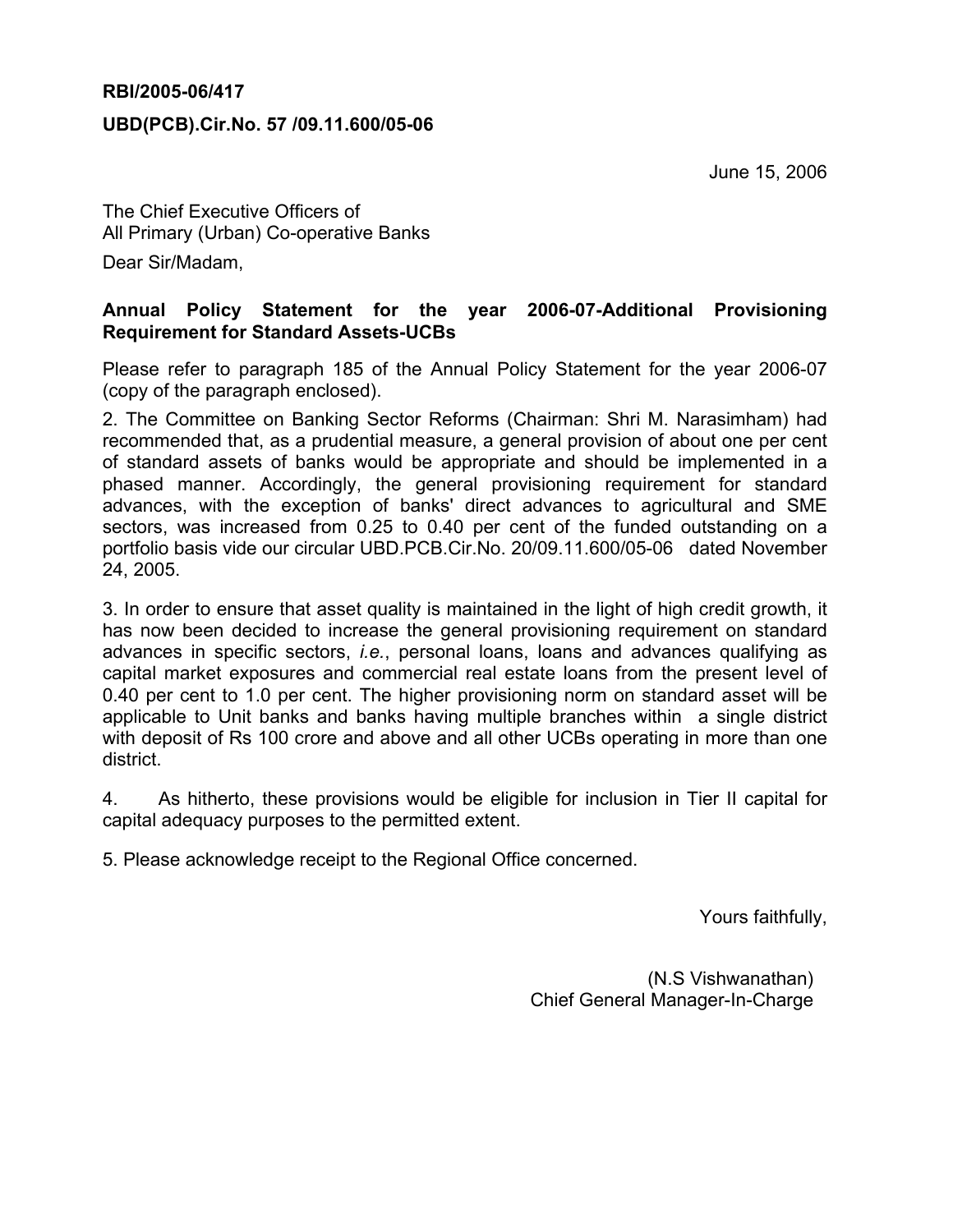#### RBI/2005-06/417

#### UBD(PCB).Cir.No. 57 /09.11.600/05-06

June 15, 2006

The Chief Executive Officers of All Primary (Urban) Co-operative Banks Dear Sir/Madam,

### Annual Policy Statement for the year 2006-07-Additional Provisioning Requirement for Standard Assets-UCBs

Please refer to paragraph 185 of the Annual Policy Statement for the year 2006-07 (copy of the paragraph enclosed).

2. The Committee on Banking Sector Reforms (Chairman: Shri M. Narasimham) had recommended that, as a prudential measure, a general provision of about one per cent of standard assets of banks would be appropriate and should be implemented in a phased manner. Accordingly, the general provisioning requirement for standard advances, with the exception of banks' direct advances to agricultural and SME sectors, was increased from 0.25 to 0.40 per cent of the funded outstanding on a portfolio basis vide our circular UBD.PCB.Cir.No. 20/09.11.600/05-06 dated November 24, 2005.

3. In order to ensure that asset quality is maintained in the light of high credit growth, it has now been decided to increase the general provisioning requirement on standard advances in specific sectors, i.e., personal loans, loans and advances qualifying as capital market exposures and commercial real estate loans from the present level of 0.40 per cent to 1.0 per cent. The higher provisioning norm on standard asset will be applicable to Unit banks and banks having multiple branches within a single district with deposit of Rs 100 crore and above and all other UCBs operating in more than one district.

4. As hitherto, these provisions would be eligible for inclusion in Tier II capital for capital adequacy purposes to the permitted extent.

5. Please acknowledge receipt to the Regional Office concerned.

Yours faithfully,

(N.S Vishwanathan) Chief General Manager-In-Charge